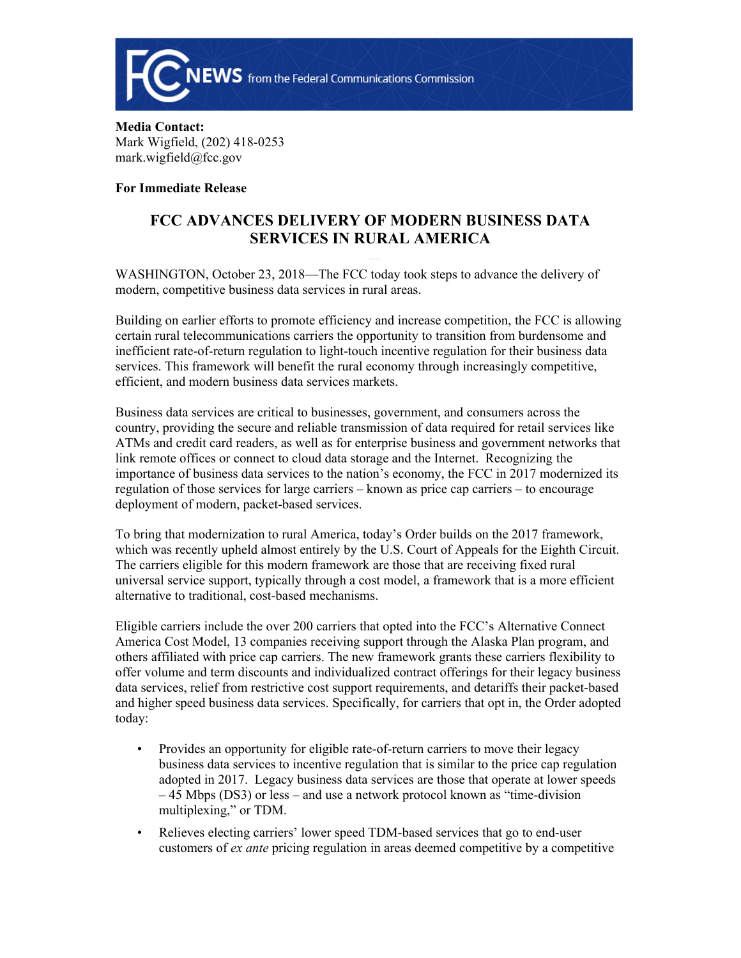

**Media Contact:** Mark Wigfield, (202) 418-0253 mark.wigfield@fcc.gov

## **For Immediate Release**

## **FCC ADVANCES DELIVERY OF MODERN BUSINESS DATA SERVICES IN RURAL AMERICA**

WASHINGTON, October 23, 2018—The FCC today took steps to advance the delivery of modern, competitive business data services in rural areas.

Building on earlier efforts to promote efficiency and increase competition, the FCC is allowing certain rural telecommunications carriers the opportunity to transition from burdensome and inefficient rate-of-return regulation to light-touch incentive regulation for their business data services. This framework will benefit the rural economy through increasingly competitive, efficient, and modern business data services markets.

Business data services are critical to businesses, government, and consumers across the country, providing the secure and reliable transmission of data required for retail services like ATMs and credit card readers, as well as for enterprise business and government networks that link remote offices or connect to cloud data storage and the Internet. Recognizing the importance of business data services to the nation's economy, the FCC in 2017 modernized its regulation of those services for large carriers – known as price cap carriers – to encourage deployment of modern, packet-based services.

To bring that modernization to rural America, today's Order builds on the 2017 framework, which was recently upheld almost entirely by the U.S. Court of Appeals for the Eighth Circuit. The carriers eligible for this modern framework are those that are receiving fixed rural universal service support, typically through a cost model, a framework that is a more efficient alternative to traditional, cost-based mechanisms.

Eligible carriers include the over 200 carriers that opted into the FCC's Alternative Connect America Cost Model, 13 companies receiving support through the Alaska Plan program, and others affiliated with price cap carriers. The new framework grants these carriers flexibility to offer volume and term discounts and individualized contract offerings for their legacy business data services, relief from restrictive cost support requirements, and detariffs their packet-based and higher speed business data services. Specifically, for carriers that opt in, the Order adopted today:

- Provides an opportunity for eligible rate-of-return carriers to move their legacy business data services to incentive regulation that is similar to the price cap regulation adopted in 2017. Legacy business data services are those that operate at lower speeds – 45 Mbps (DS3) or less – and use a network protocol known as "time-division multiplexing," or TDM.
- Relieves electing carriers' lower speed TDM-based services that go to end-user customers of *ex ante* pricing regulation in areas deemed competitive by a competitive